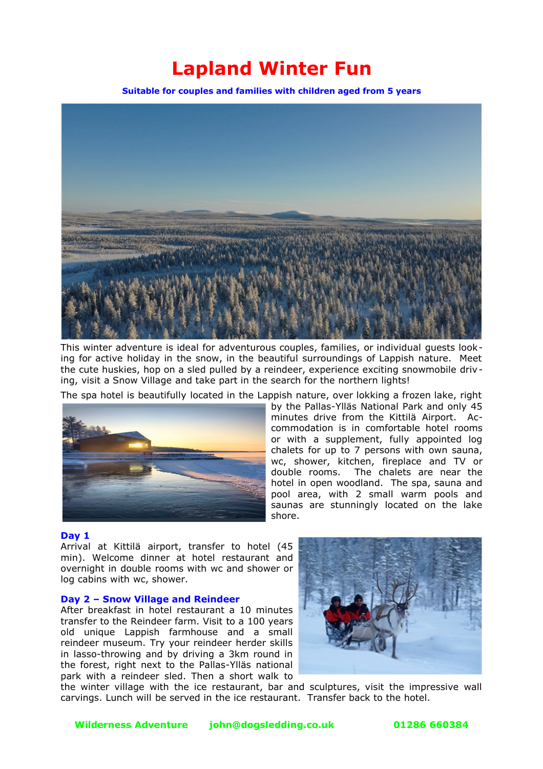# **Lapland Winter Fun**

**Suitable for couples and families with children aged from 5 years**



This winter adventure is ideal for adventurous couples, families, or individual guests looking for active holiday in the snow, in the beautiful surroundings of Lappish nature. Meet the cute huskies, hop on a sled pulled by a reindeer, experience exciting snowmobile driving, visit a Snow Village and take part in the search for the northern lights!

The spa hotel is beautifully located in the Lappish nature, over lokking a frozen lake, right



by the Pallas-Ylläs National Park and only 45 minutes drive from the Kittilä Airport. Accommodation is in comfortable hotel rooms or with a supplement, fully appointed log chalets for up to 7 persons with own sauna, wc, shower, kitchen, fireplace and TV or double rooms. The chalets are near the hotel in open woodland. The spa, sauna and pool area, with 2 small warm pools and saunas are stunningly located on the lake shore.

#### **Day 1**

Arrival at Kittilä airport, transfer to hotel (45 min). Welcome dinner at hotel restaurant and overnight in double rooms with wc and shower or log cabins with wc, shower.

# **Day 2 – Snow Village and Reindeer**

After breakfast in hotel restaurant a 10 minutes transfer to the Reindeer farm. Visit to a 100 years old unique Lappish farmhouse and a small reindeer museum. Try your reindeer herder skills in lasso-throwing and by driving a 3km round in the forest, right next to the Pallas-Ylläs national park with a reindeer sled. Then a short walk to



the winter village with the ice restaurant, bar and sculptures, visit the impressive wall carvings. Lunch will be served in the ice restaurant. Transfer back to the hotel.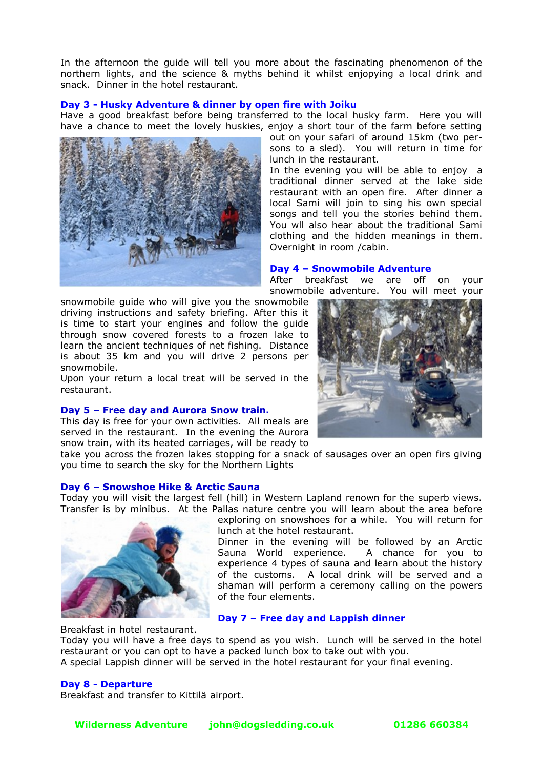In the afternoon the guide will tell you more about the fascinating phenomenon of the northern lights, and the science & myths behind it whilst enjopying a local drink and snack. Dinner in the hotel restaurant.

# **Day 3 - Husky Adventure & dinner by open fire with Joiku**

Have a good breakfast before being transferred to the local husky farm. Here you will have a chance to meet the lovely huskies, enjoy a short tour of the farm before setting



out on your safari of around 15km (two persons to a sled). You will return in time for lunch in the restaurant.

In the evening you will be able to enjoy a traditional dinner served at the lake side restaurant with an open fire. After dinner a local Sami will join to sing his own special songs and tell you the stories behind them. You wll also hear about the traditional Sami clothing and the hidden meanings in them. Overnight in room /cabin.

## **Day 4 – Snowmobile Adventure**

After breakfast we are off on your snowmobile adventure. You will meet your

snowmobile guide who will give you the snowmobile driving instructions and safety briefing. After this it is time to start your engines and follow the guide through snow covered forests to a frozen lake to learn the ancient techniques of net fishing. Distance is about 35 km and you will drive 2 persons per snowmobile.

Upon your return a local treat will be served in the restaurant.

## **Day 5 – Free day and Aurora Snow train.**

This day is free for your own activities. All meals are served in the restaurant. In the evening the Aurora snow train, with its heated carriages, will be ready to

take you across the frozen lakes stopping for a snack of sausages over an open firs giving you time to search the sky for the Northern Lights

#### **Day 6 – Snowshoe Hike & Arctic Sauna**

Today you will visit the largest fell (hill) in Western Lapland renown for the superb views. Transfer is by minibus. At the Pallas nature centre you will learn about the area before



exploring on snowshoes for a while. You will return for lunch at the hotel restaurant.

Dinner in the evening will be followed by an Arctic Sauna World experience. A chance for you to experience 4 types of sauna and learn about the history of the customs. A local drink will be served and a shaman will perform a ceremony calling on the powers of the four elements.

# **Day 7 – Free day and Lappish dinner**

Breakfast in hotel restaurant.

Today you will have a free days to spend as you wish. Lunch will be served in the hotel restaurant or you can opt to have a packed lunch box to take out with you. A special Lappish dinner will be served in the hotel restaurant for your final evening.

## **Day 8 - Departure**

Breakfast and transfer to Kittilä airport.